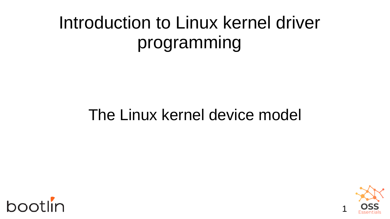#### Introduction to Linux kernel driver programming

#### The Linux kernel device model



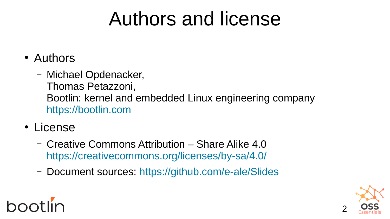### Authors and license

- Authors
	- Michael Opdenacker, Thomas Petazzoni, Bootlin: kernel and embedded Linux engineering company [https://bootlin.com](https://bootlin.com/)
- License
	- Creative Commons Attribution Share Alike 4.0 <https://creativecommons.org/licenses/by-sa/4.0/>
	- Document sources: <https://github.com/e-ale/Slides>

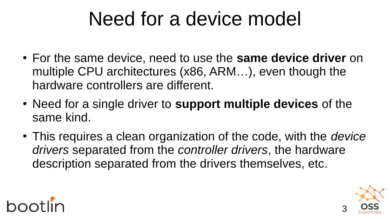## Need for a device model

- For the same device, need to use the **same device driver** on multiple CPU architectures (x86, ARM…), even though the hardware controllers are different.
- Need for a single driver to **support multiple devices** of the same kind.
- This requires a clean organization of the code, with the *device drivers* separated from the *controller drivers*, the hardware description separated from the drivers themselves, etc.



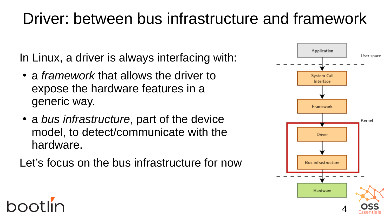#### Driver: between bus infrastructure and framework

In Linux, a driver is always interfacing with:

- a *framework* that allows the driver to expose the hardware features in a generic way.
- a *bus infrastructure*, part of the device model, to detect/communicate with the hardware.

Let's focus on the bus infrastructure for now



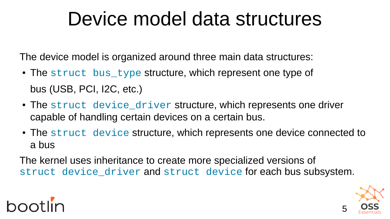#### Device model data structures

The device model is organized around three main data structures:

- The [struct bus\\_type](https://elixir.bootlin.com/linux/latest/ident/bus_type) structure, which represent one type of bus (USB, PCI, I2C, etc.)
- The [struct device\\_driver](https://elixir.bootlin.com/linux/latest/ident/device_driver) structure, which represents one driver capable of handling certain devices on a certain bus.
- The [struct device](https://elixir.bootlin.com/linux/latest/ident/device) structure, which represents one device connected to a bus

The kernel uses inheritance to create more specialized versions of [struct device\\_driver](https://elixir.bootlin.com/linux/latest/ident/device_driver) and [struct device](https://elixir.bootlin.com/linux/latest/ident/device) for each bus subsystem.

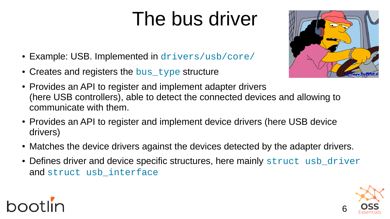# The bus driver

- Example: USB. Implemented in [drivers/usb/core/](https://elixir.bootlin.com/linux/latest/source/drivers/usb/core)
- Creates and registers the [bus\\_type](https://elixir.bootlin.com/linux/latest/ident/bus_type) structure

bootlin



- Provides an API to register and implement adapter drivers (here USB controllers), able to detect the connected devices and allowing to communicate with them.
- Provides an API to register and implement device drivers (here USB device drivers)
- Matches the device drivers against the devices detected by the adapter drivers.
- Defines driver and device specific structures, here mainly [struct usb\\_driver](https://elixir.bootlin.com/linux/latest/ident/usb_driver) and struct usb interface

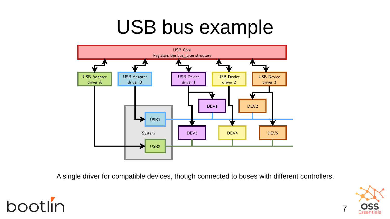#### USB bus example



A single driver for compatible devices, though connected to buses with different controllers.



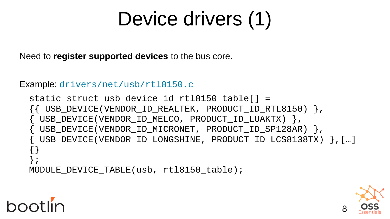# Device drivers (1)

Need to **register supported devices** to the bus core.

Example: [drivers/net/usb/rtl8150.c](https://elixir.bootlin.com/linux/latest/source/drivers/net/usb/rtl8150.c)

**bootlin** 

```
static struct usb_device_id rtl8150_table[] = 
{{ USB_DEVICE(VENDOR_ID_REALTEK, PRODUCT_ID_RTL8150) },
{ USB_DEVICE(VENDOR_ID_MELCO, PRODUCT_ID_LUAKTX) },
{ USB_DEVICE(VENDOR_ID_MICRONET, PRODUCT_ID_SP128AR) },
{ USB_DEVICE(VENDOR_ID_LONGSHINE, PRODUCT_ID_LCS8138TX) },[…]
{}
};
MODULE DEVICE TABLE(usb, rtl8150 table);
```
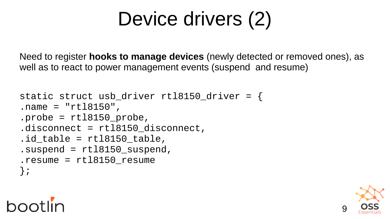# Device drivers (2)

Need to register **hooks to manage devices** (newly detected or removed ones), as well as to react to power management events (suspend and resume)

```
static struct usb_driver rtl8150_driver = {
.name = "rtl8150",
.probe = rt18150_probe,
.disconnect = rtl8150_disconnect,
id table = rtl8150 table,
suspend = rt18150_suspend,
resume = rt18150 resume
};
```


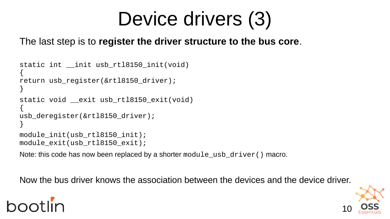# Device drivers (3)

The last step is to **register the driver structure to the bus core**.

```
static int __init usb_rtl8150_init(void)
{
return usb register(&rtl8150 driver);
}
static void __exit usb_rtl8150_exit(void)
{
usb_deregister(&rtl8150_driver);
}
module_init(usb_rtl8150_init);
module_exit(usb_rtl8150_exit);
```
Note: this code has now been replaced by a shorter module\_usb\_driver() macro.

Now the bus driver knows the association between the devices and the device driver.

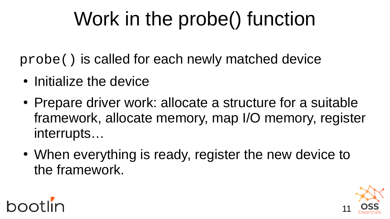# Work in the probe() function

probe() is called for each newly matched device

- Initialize the device
- Prepare driver work: allocate a structure for a suitable framework, allocate memory, map I/O memory, register interrupts…
- When everything is ready, register the new device to the framework.



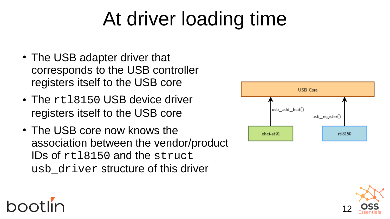# At driver loading time

- The USB adapter driver that corresponds to the USB controller registers itself to the USB core
- The rt18150 USB device driver registers itself to the USB core
- The USB core now knows the association between the vendor/product IDs of rtl8150 and the struct usb\_driver structure of this driver





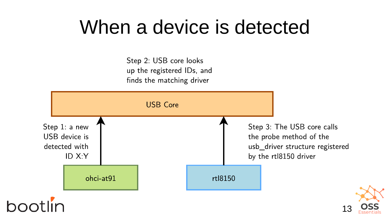#### When a device is detected

Step 2: USB core looks up the registered IDs, and finds the matching driver

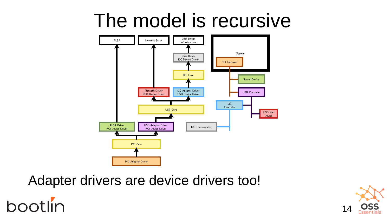#### The model is recursive



Adapter drivers are device drivers too!

bootlin

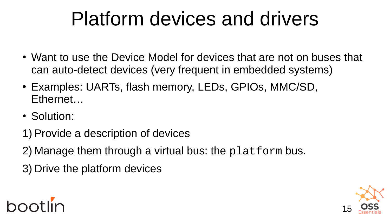## Platform devices and drivers

- Want to use the Device Model for devices that are not on buses that can auto-detect devices (very frequent in embedded systems)
- Examples: UARTs, flash memory, LEDs, GPIOs, MMC/SD, Ethernet…
- Solution:
- 1) Provide a description of devices
- 2) Manage them through a virtual bus: the platform bus.
- 3) Drive the platform devices

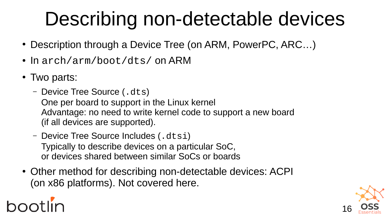# Describing non-detectable devices

- Description through a Device Tree (on ARM, PowerPC, ARC...)
- $\cdot$  In arch/arm/boot/dts/ on ARM
- Two parts:
	- Device Tree Source (.dts) One per board to support in the Linux kernel Advantage: no need to write kernel code to support a new board (if all devices are supported).
	- Device Tree Source Includes (.dtsi) Typically to describe devices on a particular SoC, or devices shared between similar SoCs or boards
- Other method for describing non-detectable devices: ACPI (on x86 platforms). Not covered here.

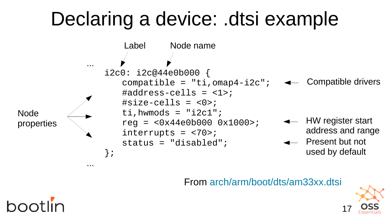## Declaring a device: .dtsi example



From [arch/arm/boot/dts/am33xx.dtsi](https://elixir.bootlin.com/linux/latest/source/arch/arm/boot/dts/am33xx.dtsi)

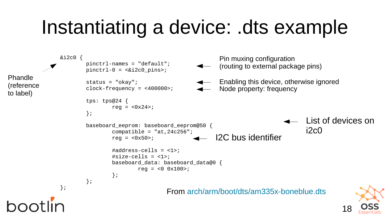#### Instantiating a device: .dts example

```
18
                                                   From arch/arm/boot/dts/am335x-boneblue.dts
                &i2c0 {
                          pinctrl-names = "default";
                         pinctr1-0 = <math>\&42c0</math> pinsstatus = "okay";
                         clock-frequency = <400000>;
                          tps: tps@24 {
                                 reg = <0x24>;
                          };
                          baseboard_eeprom: baseboard_eeprom@50 {
                                 compatible = "at,24c256";
                                 rea = <0x50>:
                                 #address-cells = <1>;
                                 #size\text{-cells} = \langle 1 \rangle;
                                  baseboard_data: baseboard_data@0 {
                                 reg = <0 0x100>;<br>};
                  };
                          };
                };
Phandle
(reference
to label)
                                                                    Pin muxing configuration
                                                                    (routing to external package pins)
                                                                                                List of devices on
                                                                                                i2c0
                                                                 I2C bus identifier
                                                                    Enabling this device, otherwise ignored
                                                                    Node property: frequency
```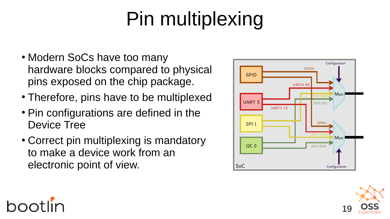# Pin multiplexing

- Modern SoCs have too many hardware blocks compared to physical pins exposed on the chip package.
- Therefore, pins have to be multiplexed
- Pin configurations are defined in the Device Tree
- Correct pin multiplexing is mandatory to make a device work from an electronic point of view.





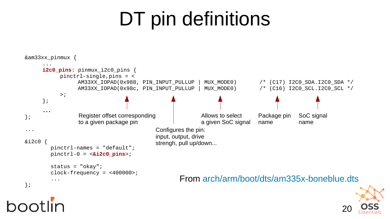## DT pin definitions



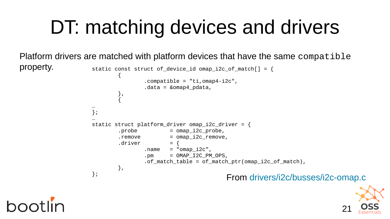## DT: matching devices and drivers

Platform drivers are matched with platform devices that have the same compatible

```
property. static const struct of device id omap i2c of match[] = {
                     \overline{\mathcal{L}}\text{complete} = "t_i, \text{omap4-i2c",}data = &omap4_pdata,
                      },
                     \overline{\mathcal{L}}…
                    };
                     …
                    static struct platform driver omap_i2c_driver = {
                            \lnot probe \lnot = omap i2c probe,
                            r remove r = 0 and r = 2c remove,
                            .driver = {
                                   name = "omap_izc",pm = OMAP_12C_PM_0PS,
                                   .of_match_table = of_match_ptr(omap_i2c_of_match),
                             },
                    }; From drivers/i2c/busses/i2c-omap.c
```
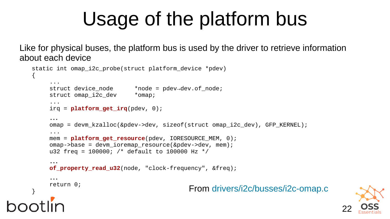## Usage of the platform bus

Like for physical buses, the platform bus is used by the driver to retrieve information about each device

```
static int omap i2c probe(struct platform device *pdev)
\mathcal{L}...
     struct device node *node = pdev→dev.of node;
     struct omap i2c dev *omap;
     ...
     irq = platform_get_irq(pdev, 0);
     …
     omap = devm_kzalloc(&pdev->dev, sizeof(struct omap_i2c_dev), GFP_KERNEL);
     ...
     mem = platform_get_resource(pdev, IORESOURCE_MEM, 0);
     omap->base = devm_ioremap_resource(&pdev->dev, mem); 
     u32 freq = 100000; /* default to 100000 Hz */
     …
     of_property_read_u32(node, "clock-frequency", &freq);
     …
     return 0;
                                             } From drivers/i2c/busses/i2c-omap.c
```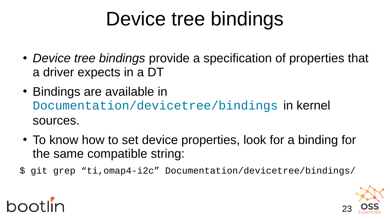# Device tree bindings

- *Device tree bindings* provide a specification of properties that a driver expects in a DT
- Bindings are available in [Documentation/devicetree/bindings](https://elixir.bootlin.com/linux/latest/source/Documentation/devicetree/bindings) in kernel sources.
- To know how to set device properties, look for a binding for the same compatible string:
- \$ git grep "ti,omap4-i2c" Documentation/devicetree/bindings/



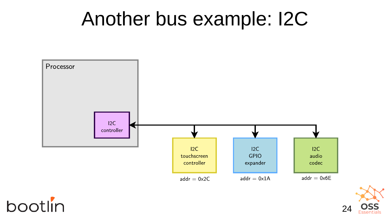#### Another bus example: I2C



bootlin

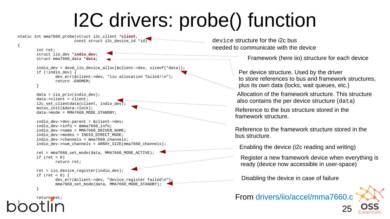## I2C drivers: probe() function

{

}



<sup>25</sup>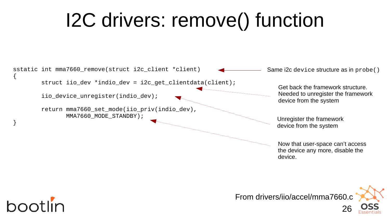## I2C drivers: remove() function



Now that user-space can't access the device any more, disable the device.



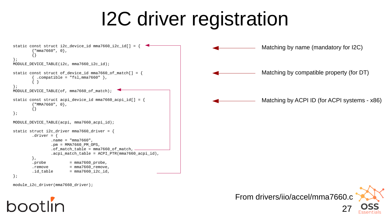## I2C driver registration



module\_i2c\_driver(mma7660\_driver);



From drivers/iio/accel/mma7660.c

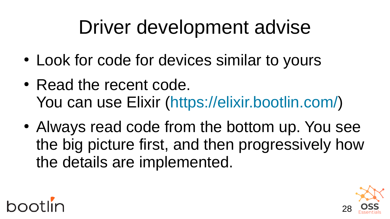### Driver development advise

- Look for code for devices similar to yours
- Read the recent code. You can use Elixir ([https://elixir.bootlin.com/\)](https://elixir.bootlin.com/)
- Always read code from the bottom up. You see the big picture first, and then progressively how the details are implemented.